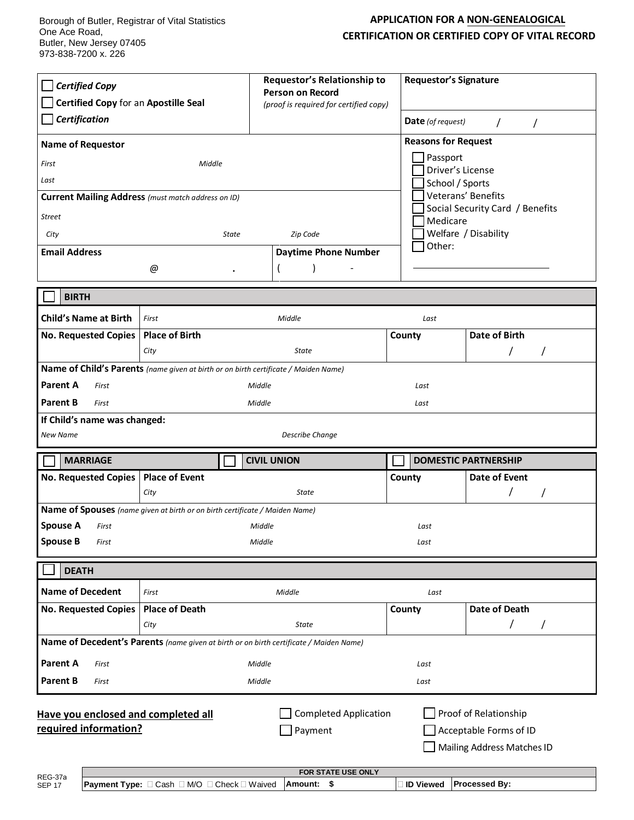## **APPLICATION FOR A NON-GENEALOGICAL CERTIFICATION OR CERTIFIED COPY OF VITAL RECORD**

| <b>Certified Copy</b><br>Certified Copy for an Apostille Seal<br><b>Certification</b><br><b>Name of Requestor</b><br>First<br>Last<br><b>Street</b><br>City                              | Middle<br><b>Current Mailing Address</b> (must match address on ID)<br>State | Requestor's Relationship to<br><b>Person on Record</b><br>(proof is required for certified copy)<br>Zip Code | <b>Requestor's Signature</b><br><b>Date</b> (of request)<br><b>Reasons for Request</b><br>Passport<br>Driver's License<br>School / Sports<br>Medicare<br>Other: | $\prime$<br>$\prime$<br>Veterans' Benefits<br>Social Security Card / Benefits<br>Welfare / Disability |  |
|------------------------------------------------------------------------------------------------------------------------------------------------------------------------------------------|------------------------------------------------------------------------------|--------------------------------------------------------------------------------------------------------------|-----------------------------------------------------------------------------------------------------------------------------------------------------------------|-------------------------------------------------------------------------------------------------------|--|
| <b>Email Address</b>                                                                                                                                                                     | @                                                                            | <b>Daytime Phone Number</b>                                                                                  |                                                                                                                                                                 |                                                                                                       |  |
|                                                                                                                                                                                          |                                                                              |                                                                                                              |                                                                                                                                                                 |                                                                                                       |  |
| <b>BIRTH</b>                                                                                                                                                                             |                                                                              |                                                                                                              |                                                                                                                                                                 |                                                                                                       |  |
| <b>Child's Name at Birth</b>                                                                                                                                                             | First                                                                        | Middle                                                                                                       | Last                                                                                                                                                            |                                                                                                       |  |
| <b>No. Requested Copies</b>                                                                                                                                                              | <b>Place of Birth</b>                                                        |                                                                                                              | County                                                                                                                                                          | Date of Birth                                                                                         |  |
|                                                                                                                                                                                          | City                                                                         | State                                                                                                        |                                                                                                                                                                 |                                                                                                       |  |
| Name of Child's Parents (name given at birth or on birth certificate / Maiden Name)<br><b>Parent A</b><br>Middle<br>First                                                                |                                                                              |                                                                                                              |                                                                                                                                                                 |                                                                                                       |  |
| <b>Parent B</b><br>First                                                                                                                                                                 |                                                                              | Middle                                                                                                       |                                                                                                                                                                 | Last<br>Last                                                                                          |  |
| If Child's name was changed:                                                                                                                                                             |                                                                              |                                                                                                              |                                                                                                                                                                 |                                                                                                       |  |
| New Name<br><b>Describe Change</b>                                                                                                                                                       |                                                                              |                                                                                                              |                                                                                                                                                                 |                                                                                                       |  |
| <b>MARRIAGE</b>                                                                                                                                                                          |                                                                              | <b>CIVIL UNION</b>                                                                                           |                                                                                                                                                                 | <b>DOMESTIC PARTNERSHIP</b>                                                                           |  |
| No. Requested Copies   Place of Event                                                                                                                                                    |                                                                              |                                                                                                              | County                                                                                                                                                          | Date of Event                                                                                         |  |
|                                                                                                                                                                                          | City                                                                         | <b>State</b>                                                                                                 |                                                                                                                                                                 |                                                                                                       |  |
| <b>Spouse A</b><br>First                                                                                                                                                                 | Name of Spouses (name given at birth or on birth certificate / Maiden Name)  |                                                                                                              |                                                                                                                                                                 |                                                                                                       |  |
| <b>Spouse B</b><br>First                                                                                                                                                                 |                                                                              | Middle<br>Middle                                                                                             |                                                                                                                                                                 | Last<br>Last                                                                                          |  |
|                                                                                                                                                                                          |                                                                              |                                                                                                              |                                                                                                                                                                 |                                                                                                       |  |
| <b>DEATH</b>                                                                                                                                                                             |                                                                              |                                                                                                              |                                                                                                                                                                 |                                                                                                       |  |
| <b>Name of Decedent</b>                                                                                                                                                                  | First                                                                        | Middle                                                                                                       | Last                                                                                                                                                            |                                                                                                       |  |
| <b>No. Requested Copies</b>                                                                                                                                                              | <b>Place of Death</b>                                                        |                                                                                                              | County                                                                                                                                                          | <b>Date of Death</b>                                                                                  |  |
|                                                                                                                                                                                          | City                                                                         | <b>State</b>                                                                                                 |                                                                                                                                                                 | 7<br>7                                                                                                |  |
| Name of Decedent's Parents (name given at birth or on birth certificate / Maiden Name)                                                                                                   |                                                                              |                                                                                                              |                                                                                                                                                                 |                                                                                                       |  |
| <b>Parent A</b><br>First                                                                                                                                                                 |                                                                              | Middle                                                                                                       | Last                                                                                                                                                            |                                                                                                       |  |
| <b>Parent B</b><br>Middle<br>First<br>Last                                                                                                                                               |                                                                              |                                                                                                              |                                                                                                                                                                 |                                                                                                       |  |
| <b>Completed Application</b><br>Proof of Relationship<br>Have you enclosed and completed all<br>required information?<br>Acceptable Forms of ID<br>Payment<br>Mailing Address Matches ID |                                                                              |                                                                                                              |                                                                                                                                                                 |                                                                                                       |  |
| FOR STATE USE ONLY<br>REG-37a<br><b>Processed By:</b><br>Amount: \$<br><b>ID Viewed</b><br><b>Payment Type:</b> □ Cash □ M/O □ Check □ Waived<br><b>SEP 17</b>                           |                                                                              |                                                                                                              |                                                                                                                                                                 |                                                                                                       |  |